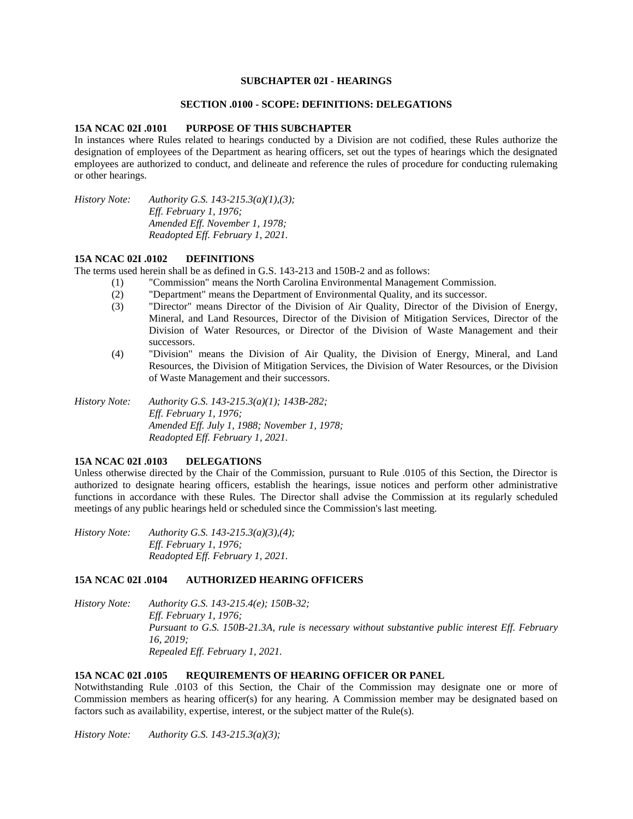### **SUBCHAPTER 02I - HEARINGS**

# **SECTION .0100 - SCOPE: DEFINITIONS: DELEGATIONS**

#### **15A NCAC 02I .0101 PURPOSE OF THIS SUBCHAPTER**

In instances where Rules related to hearings conducted by a Division are not codified, these Rules authorize the designation of employees of the Department as hearing officers, set out the types of hearings which the designated employees are authorized to conduct, and delineate and reference the rules of procedure for conducting rulemaking or other hearings.

*History Note: Authority G.S. 143-215.3(a)(1),(3); Eff. February 1, 1976; Amended Eff. November 1, 1978; Readopted Eff. February 1, 2021.*

#### **15A NCAC 02I .0102 DEFINITIONS**

The terms used herein shall be as defined in G.S. 143-213 and 150B-2 and as follows:

- (1) "Commission" means the North Carolina Environmental Management Commission.
	- (2) "Department" means the Department of Environmental Quality, and its successor.
	- (3) "Director" means Director of the Division of Air Quality, Director of the Division of Energy, Mineral, and Land Resources, Director of the Division of Mitigation Services, Director of the Division of Water Resources, or Director of the Division of Waste Management and their successors.
	- (4) "Division" means the Division of Air Quality, the Division of Energy, Mineral, and Land Resources, the Division of Mitigation Services, the Division of Water Resources, or the Division of Waste Management and their successors.

*History Note: Authority G.S. 143-215.3(a)(1); 143B-282; Eff. February 1, 1976; Amended Eff. July 1, 1988; November 1, 1978; Readopted Eff. February 1, 2021.*

### **15A NCAC 02I .0103 DELEGATIONS**

Unless otherwise directed by the Chair of the Commission, pursuant to Rule .0105 of this Section, the Director is authorized to designate hearing officers, establish the hearings, issue notices and perform other administrative functions in accordance with these Rules. The Director shall advise the Commission at its regularly scheduled meetings of any public hearings held or scheduled since the Commission's last meeting.

*History Note: Authority G.S. 143-215.3(a)(3),(4); Eff. February 1, 1976; Readopted Eff. February 1, 2021.*

### **15A NCAC 02I .0104 AUTHORIZED HEARING OFFICERS**

*History Note: Authority G.S. 143-215.4(e); 150B-32; Eff. February 1, 1976; Pursuant to G.S. 150B-21.3A, rule is necessary without substantive public interest Eff. February 16, 2019; Repealed Eff. February 1, 2021.*

# **15A NCAC 02I .0105 REQUIREMENTS OF HEARING OFFICER OR PANEL**

Notwithstanding Rule .0103 of this Section, the Chair of the Commission may designate one or more of Commission members as hearing officer(s) for any hearing. A Commission member may be designated based on factors such as availability, expertise, interest, or the subject matter of the Rule(s).

*History Note: Authority G.S. 143-215.3(a)(3);*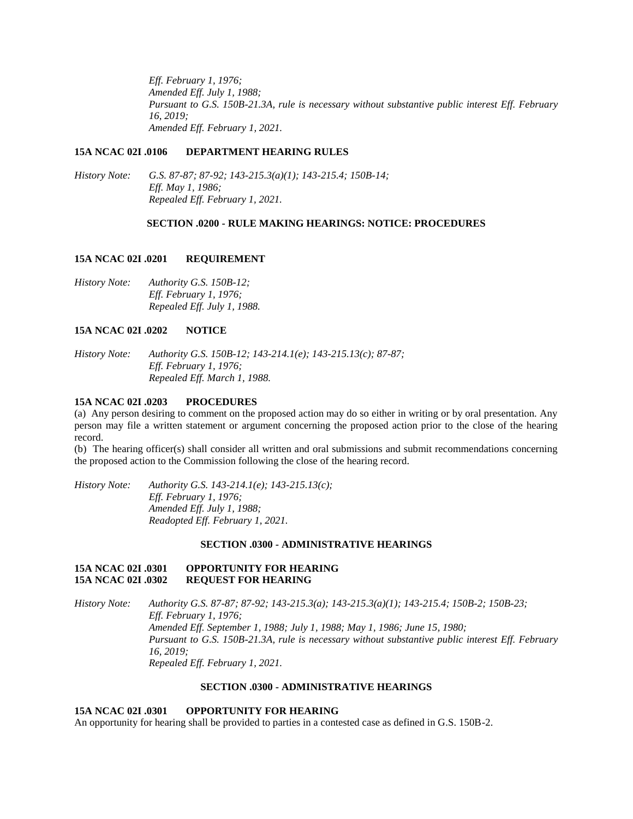*Eff. February 1, 1976; Amended Eff. July 1, 1988; Pursuant to G.S. 150B-21.3A, rule is necessary without substantive public interest Eff. February 16, 2019; Amended Eff. February 1, 2021.*

### **15A NCAC 02I .0106 DEPARTMENT HEARING RULES**

*History Note: G.S. 87-87; 87-92; 143-215.3(a)(1); 143-215.4; 150B-14; Eff. May 1, 1986; Repealed Eff. February 1, 2021.*

#### **SECTION .0200 - RULE MAKING HEARINGS: NOTICE: PROCEDURES**

#### **15A NCAC 02I .0201 REQUIREMENT**

*History Note: Authority G.S. 150B-12; Eff. February 1, 1976; Repealed Eff. July 1, 1988.*

# **15A NCAC 02I .0202 NOTICE**

*History Note: Authority G.S. 150B-12; 143-214.1(e); 143-215.13(c); 87-87; Eff. February 1, 1976; Repealed Eff. March 1, 1988.*

#### **15A NCAC 02I .0203 PROCEDURES**

(a) Any person desiring to comment on the proposed action may do so either in writing or by oral presentation. Any person may file a written statement or argument concerning the proposed action prior to the close of the hearing record.

(b) The hearing officer(s) shall consider all written and oral submissions and submit recommendations concerning the proposed action to the Commission following the close of the hearing record.

*History Note: Authority G.S. 143-214.1(e); 143-215.13(c); Eff. February 1, 1976; Amended Eff. July 1, 1988; Readopted Eff. February 1, 2021.*

#### **SECTION .0300 - ADMINISTRATIVE HEARINGS**

# **15A NCAC 02I .0301 OPPORTUNITY FOR HEARING 15A NCAC 02I .0302 REQUEST FOR HEARING**

*History Note: Authority G.S. 87-87; 87-92; 143-215.3(a); 143-215.3(a)(1); 143-215.4; 150B-2; 150B-23; Eff. February 1, 1976; Amended Eff. September 1, 1988; July 1, 1988; May 1, 1986; June 15, 1980; Pursuant to G.S. 150B-21.3A, rule is necessary without substantive public interest Eff. February 16, 2019; Repealed Eff. February 1, 2021.*

# **SECTION .0300 - ADMINISTRATIVE HEARINGS**

# **15A NCAC 02I .0301 OPPORTUNITY FOR HEARING**

An opportunity for hearing shall be provided to parties in a contested case as defined in G.S. 150B-2.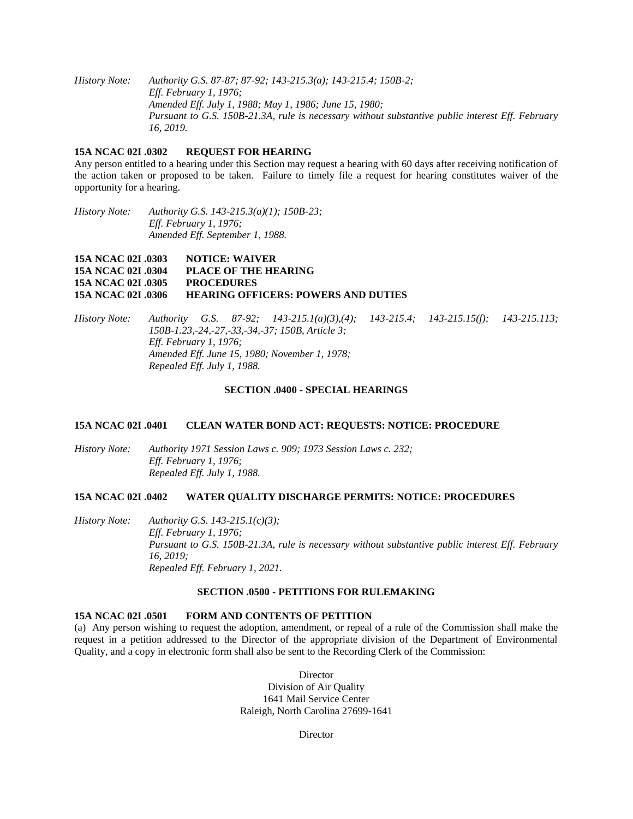*History Note: Authority G.S. 87-87; 87-92; 143-215.3(a); 143-215.4; 150B-2; Eff. February 1, 1976; Amended Eff. July 1, 1988; May 1, 1986; June 15, 1980; Pursuant to G.S. 150B-21.3A, rule is necessary without substantive public interest Eff. February 16, 2019.*

# **15A NCAC 02I .0302 REQUEST FOR HEARING**

Any person entitled to a hearing under this Section may request a hearing with 60 days after receiving notification of the action taken or proposed to be taken. Failure to timely file a request for hearing constitutes waiver of the opportunity for a hearing.

*History Note: Authority G.S. 143-215.3(a)(1); 150B-23; Eff. February 1, 1976; Amended Eff. September 1, 1988.*

**15A NCAC 02I .0303 NOTICE: WAIVER 15A NCAC 02I .0304 PLACE OF THE HEARING 15A NCAC 02I .0305 PROCEDURES 15A NCAC 02I .0306 HEARING OFFICERS: POWERS AND DUTIES**

*History Note: Authority G.S. 87-92; 143-215.1(a)(3),(4); 143-215.4; 143-215.15(f); 143-215.113; 150B-1.23,-24,-27,-33,-34,-37; 150B, Article 3; Eff. February 1, 1976; Amended Eff. June 15, 1980; November 1, 1978; Repealed Eff. July 1, 1988.*

#### **SECTION .0400 - SPECIAL HEARINGS**

### **15A NCAC 02I .0401 CLEAN WATER BOND ACT: REQUESTS: NOTICE: PROCEDURE**

*History Note: Authority 1971 Session Laws c. 909; 1973 Session Laws c. 232; Eff. February 1, 1976; Repealed Eff. July 1, 1988.*

#### **15A NCAC 02I .0402 WATER QUALITY DISCHARGE PERMITS: NOTICE: PROCEDURES**

*History Note: Authority G.S. 143-215.1(c)(3); Eff. February 1, 1976; Pursuant to G.S. 150B-21.3A, rule is necessary without substantive public interest Eff. February 16, 2019; Repealed Eff. February 1, 2021.*

# **SECTION .0500 - PETITIONS FOR RULEMAKING**

### **15A NCAC 02I .0501 FORM AND CONTENTS OF PETITION**

(a) Any person wishing to request the adoption, amendment, or repeal of a rule of the Commission shall make the request in a petition addressed to the Director of the appropriate division of the Department of Environmental Quality, and a copy in electronic form shall also be sent to the Recording Clerk of the Commission:

> **Director** Division of Air Quality 1641 Mail Service Center Raleigh, North Carolina 27699-1641

> > **Director**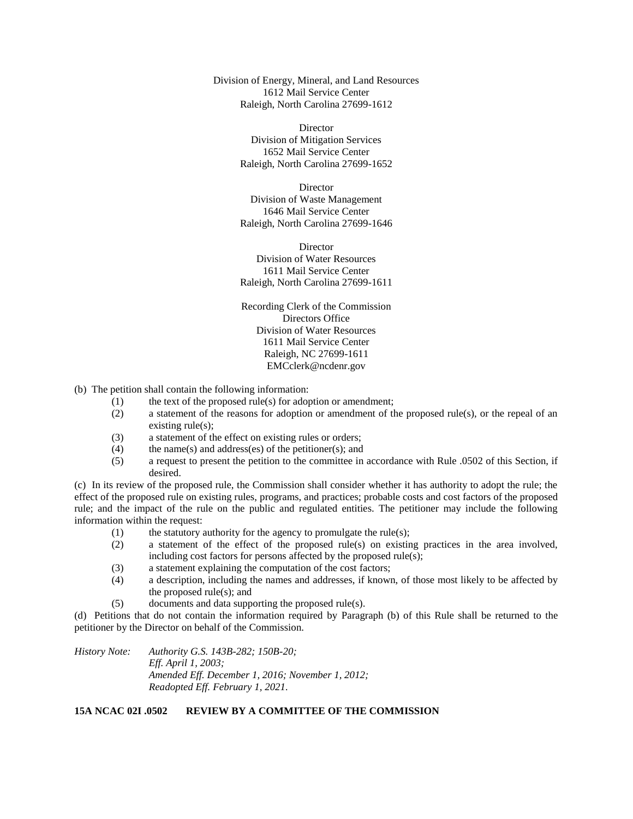Division of Energy, Mineral, and Land Resources 1612 Mail Service Center Raleigh, North Carolina 27699-1612

> **Director** Division of Mitigation Services 1652 Mail Service Center Raleigh, North Carolina 27699-1652

> **Director** Division of Waste Management 1646 Mail Service Center Raleigh, North Carolina 27699-1646

> **Director** Division of Water Resources 1611 Mail Service Center Raleigh, North Carolina 27699-1611

> Recording Clerk of the Commission Directors Office Division of Water Resources 1611 Mail Service Center Raleigh, NC 27699-1611 EMCclerk@ncdenr.gov

- (b) The petition shall contain the following information:
	- (1) the text of the proposed rule(s) for adoption or amendment;
	- (2) a statement of the reasons for adoption or amendment of the proposed rule(s), or the repeal of an existing rule(s);
	- (3) a statement of the effect on existing rules or orders;
	- (4) the name(s) and address(es) of the petitioner(s); and
	- (5) a request to present the petition to the committee in accordance with Rule .0502 of this Section, if desired.

(c) In its review of the proposed rule, the Commission shall consider whether it has authority to adopt the rule; the effect of the proposed rule on existing rules, programs, and practices; probable costs and cost factors of the proposed rule; and the impact of the rule on the public and regulated entities. The petitioner may include the following information within the request:

- (1) the statutory authority for the agency to promulgate the rule(s);
- (2) a statement of the effect of the proposed rule(s) on existing practices in the area involved, including cost factors for persons affected by the proposed rule(s);
- (3) a statement explaining the computation of the cost factors;
- (4) a description, including the names and addresses, if known, of those most likely to be affected by the proposed rule(s); and
- (5) documents and data supporting the proposed rule(s).

(d) Petitions that do not contain the information required by Paragraph (b) of this Rule shall be returned to the petitioner by the Director on behalf of the Commission.

*History Note: Authority G.S. 143B-282; 150B-20; Eff. April 1, 2003; Amended Eff. December 1, 2016; November 1, 2012; Readopted Eff. February 1, 2021.*

# **15A NCAC 02I .0502 REVIEW BY A COMMITTEE OF THE COMMISSION**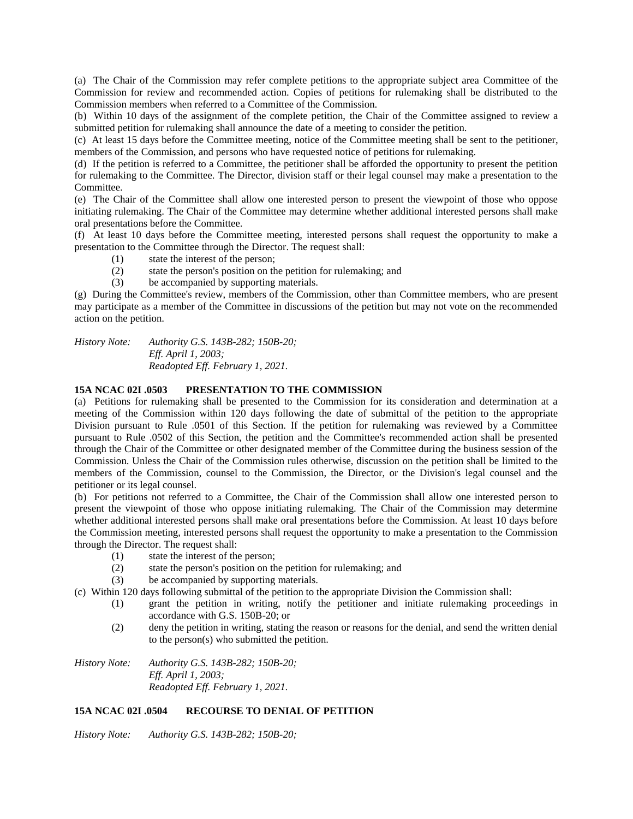(a) The Chair of the Commission may refer complete petitions to the appropriate subject area Committee of the Commission for review and recommended action. Copies of petitions for rulemaking shall be distributed to the Commission members when referred to a Committee of the Commission.

(b) Within 10 days of the assignment of the complete petition, the Chair of the Committee assigned to review a submitted petition for rulemaking shall announce the date of a meeting to consider the petition.

(c) At least 15 days before the Committee meeting, notice of the Committee meeting shall be sent to the petitioner, members of the Commission, and persons who have requested notice of petitions for rulemaking.

(d) If the petition is referred to a Committee, the petitioner shall be afforded the opportunity to present the petition for rulemaking to the Committee. The Director, division staff or their legal counsel may make a presentation to the Committee.

(e) The Chair of the Committee shall allow one interested person to present the viewpoint of those who oppose initiating rulemaking. The Chair of the Committee may determine whether additional interested persons shall make oral presentations before the Committee.

(f) At least 10 days before the Committee meeting, interested persons shall request the opportunity to make a presentation to the Committee through the Director. The request shall:

- (1) state the interest of the person;
- (2) state the person's position on the petition for rulemaking; and
- (3) be accompanied by supporting materials.

(g) During the Committee's review, members of the Commission, other than Committee members, who are present may participate as a member of the Committee in discussions of the petition but may not vote on the recommended action on the petition.

*History Note: Authority G.S. 143B-282; 150B-20; Eff. April 1, 2003; Readopted Eff. February 1, 2021.*

# **15A NCAC 02I .0503 PRESENTATION TO THE COMMISSION**

(a) Petitions for rulemaking shall be presented to the Commission for its consideration and determination at a meeting of the Commission within 120 days following the date of submittal of the petition to the appropriate Division pursuant to Rule .0501 of this Section. If the petition for rulemaking was reviewed by a Committee pursuant to Rule .0502 of this Section, the petition and the Committee's recommended action shall be presented through the Chair of the Committee or other designated member of the Committee during the business session of the Commission. Unless the Chair of the Commission rules otherwise, discussion on the petition shall be limited to the members of the Commission, counsel to the Commission, the Director, or the Division's legal counsel and the petitioner or its legal counsel.

(b) For petitions not referred to a Committee, the Chair of the Commission shall allow one interested person to present the viewpoint of those who oppose initiating rulemaking. The Chair of the Commission may determine whether additional interested persons shall make oral presentations before the Commission. At least 10 days before the Commission meeting, interested persons shall request the opportunity to make a presentation to the Commission through the Director. The request shall:

- (1) state the interest of the person;
- (2) state the person's position on the petition for rulemaking; and
- (3) be accompanied by supporting materials.
- (c) Within 120 days following submittal of the petition to the appropriate Division the Commission shall:
	- (1) grant the petition in writing, notify the petitioner and initiate rulemaking proceedings in accordance with G.S. 150B-20; or
	- (2) deny the petition in writing, stating the reason or reasons for the denial, and send the written denial to the person(s) who submitted the petition.

*History Note: Authority G.S. 143B-282; 150B-20; Eff. April 1, 2003; Readopted Eff. February 1, 2021.*

# **15A NCAC 02I .0504 RECOURSE TO DENIAL OF PETITION**

*History Note: Authority G.S. 143B-282; 150B-20;*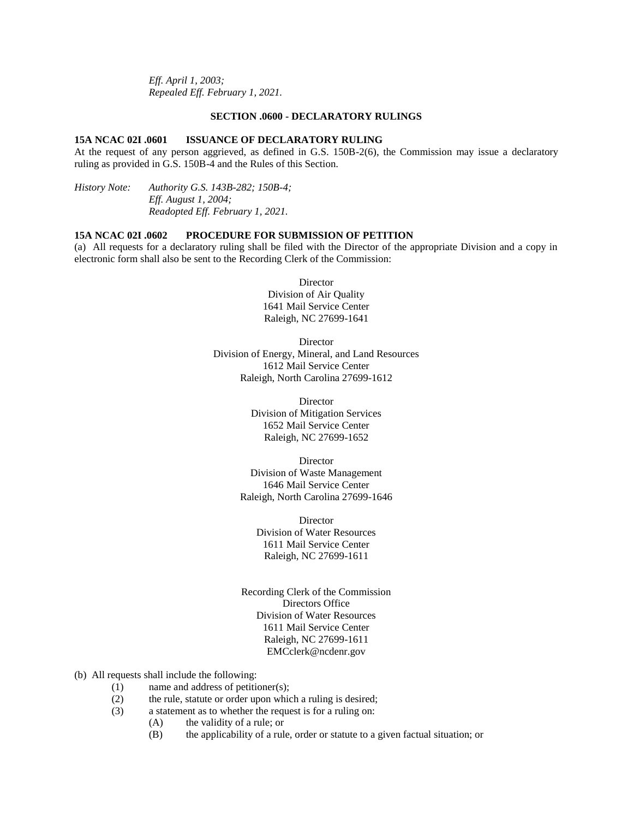*Eff. April 1, 2003; Repealed Eff. February 1, 2021.*

### **SECTION .0600 - DECLARATORY RULINGS**

### **15A NCAC 02I .0601 ISSUANCE OF DECLARATORY RULING**

At the request of any person aggrieved, as defined in G.S. 150B-2(6), the Commission may issue a declaratory ruling as provided in G.S. 150B-4 and the Rules of this Section.

*History Note: Authority G.S. 143B-282; 150B-4; Eff. August 1, 2004; Readopted Eff. February 1, 2021.*

#### **15A NCAC 02I .0602 PROCEDURE FOR SUBMISSION OF PETITION**

(a) All requests for a declaratory ruling shall be filed with the Director of the appropriate Division and a copy in electronic form shall also be sent to the Recording Clerk of the Commission:

> Director Division of Air Quality 1641 Mail Service Center Raleigh, NC 27699-1641

Director Division of Energy, Mineral, and Land Resources 1612 Mail Service Center Raleigh, North Carolina 27699-1612

> **Director** Division of Mitigation Services 1652 Mail Service Center Raleigh, NC 27699-1652

**Director** Division of Waste Management 1646 Mail Service Center Raleigh, North Carolina 27699-1646

**Director** Division of Water Resources 1611 Mail Service Center Raleigh, NC 27699-1611

Recording Clerk of the Commission Directors Office Division of Water Resources 1611 Mail Service Center Raleigh, NC 27699-1611 EMCclerk@ncdenr.gov

- (b) All requests shall include the following:
	- (1) name and address of petitioner(s);
	- (2) the rule, statute or order upon which a ruling is desired;
	- (3) a statement as to whether the request is for a ruling on:
		- (A) the validity of a rule; or
		- (B) the applicability of a rule, order or statute to a given factual situation; or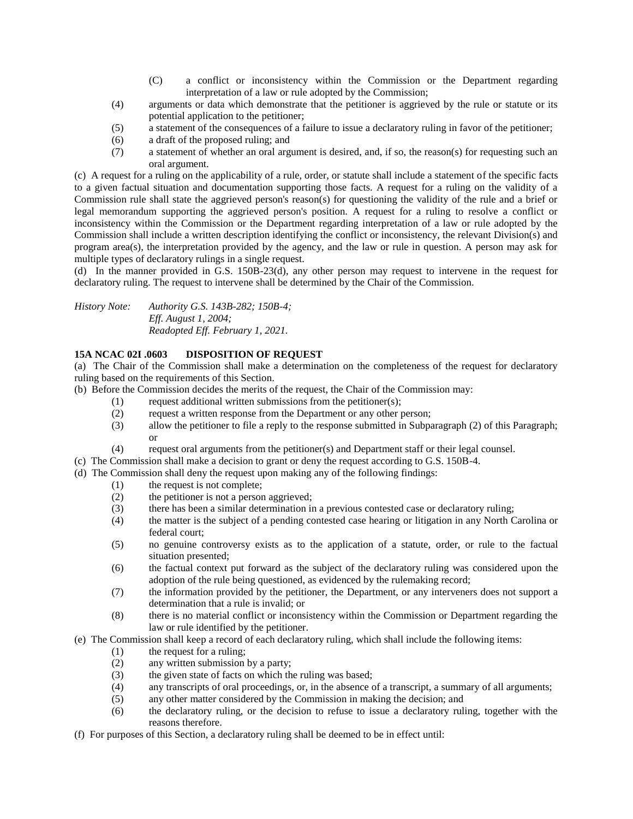- (C) a conflict or inconsistency within the Commission or the Department regarding interpretation of a law or rule adopted by the Commission;
- (4) arguments or data which demonstrate that the petitioner is aggrieved by the rule or statute or its potential application to the petitioner;
- (5) a statement of the consequences of a failure to issue a declaratory ruling in favor of the petitioner;
- (6) a draft of the proposed ruling; and
- (7) a statement of whether an oral argument is desired, and, if so, the reason(s) for requesting such an oral argument.

(c) A request for a ruling on the applicability of a rule, order, or statute shall include a statement of the specific facts to a given factual situation and documentation supporting those facts. A request for a ruling on the validity of a Commission rule shall state the aggrieved person's reason(s) for questioning the validity of the rule and a brief or legal memorandum supporting the aggrieved person's position. A request for a ruling to resolve a conflict or inconsistency within the Commission or the Department regarding interpretation of a law or rule adopted by the Commission shall include a written description identifying the conflict or inconsistency, the relevant Division(s) and program area(s), the interpretation provided by the agency, and the law or rule in question. A person may ask for multiple types of declaratory rulings in a single request.

(d) In the manner provided in G.S. 150B-23(d), any other person may request to intervene in the request for declaratory ruling. The request to intervene shall be determined by the Chair of the Commission.

*History Note: Authority G.S. 143B-282; 150B-4; Eff. August 1, 2004; Readopted Eff. February 1, 2021.*

# **15A NCAC 02I .0603 DISPOSITION OF REQUEST**

(a) The Chair of the Commission shall make a determination on the completeness of the request for declaratory ruling based on the requirements of this Section.

- (b) Before the Commission decides the merits of the request, the Chair of the Commission may:
	- (1) request additional written submissions from the petitioner(s);
	- (2) request a written response from the Department or any other person;
	- (3) allow the petitioner to file a reply to the response submitted in Subparagraph (2) of this Paragraph; or
	- (4) request oral arguments from the petitioner(s) and Department staff or their legal counsel.
- (c) The Commission shall make a decision to grant or deny the request according to G.S. 150B-4.
- (d) The Commission shall deny the request upon making any of the following findings:
	- (1) the request is not complete;
		- (2) the petitioner is not a person aggrieved;
		- (3) there has been a similar determination in a previous contested case or declaratory ruling;
		- (4) the matter is the subject of a pending contested case hearing or litigation in any North Carolina or federal court;
		- (5) no genuine controversy exists as to the application of a statute, order, or rule to the factual situation presented;
		- (6) the factual context put forward as the subject of the declaratory ruling was considered upon the adoption of the rule being questioned, as evidenced by the rulemaking record;
		- (7) the information provided by the petitioner, the Department, or any interveners does not support a determination that a rule is invalid; or
		- (8) there is no material conflict or inconsistency within the Commission or Department regarding the law or rule identified by the petitioner.
- (e) The Commission shall keep a record of each declaratory ruling, which shall include the following items:
	- (1) the request for a ruling;
	- (2) any written submission by a party;
	- (3) the given state of facts on which the ruling was based;
	- (4) any transcripts of oral proceedings, or, in the absence of a transcript, a summary of all arguments;
	- (5) any other matter considered by the Commission in making the decision; and
	- (6) the declaratory ruling, or the decision to refuse to issue a declaratory ruling, together with the reasons therefore.
- (f) For purposes of this Section, a declaratory ruling shall be deemed to be in effect until: